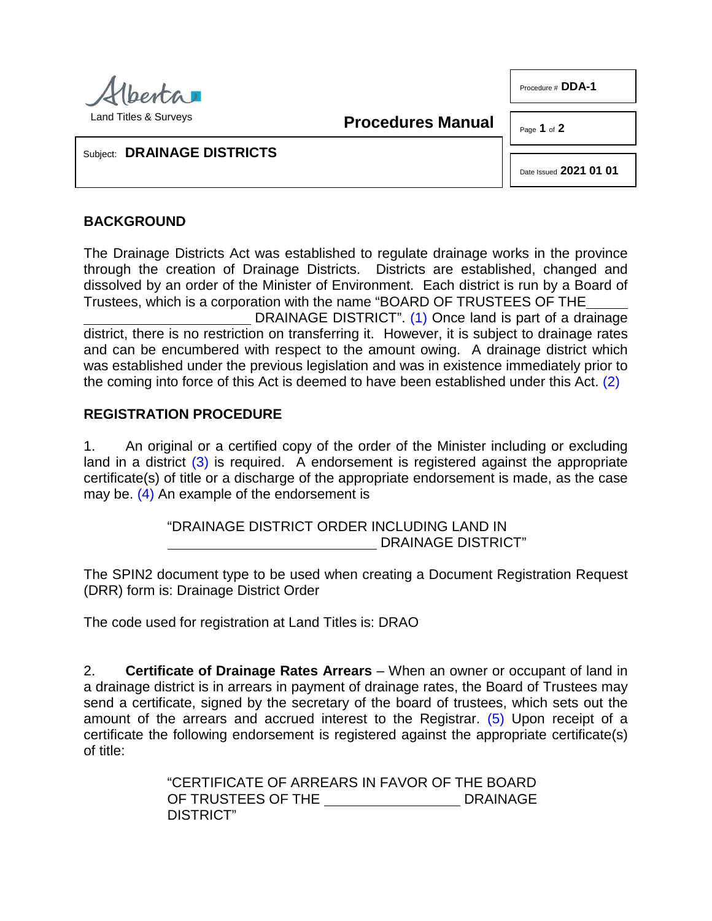

Procedure # **DDA-1**

Land Titles & Surveys

**Procedures Manual**

Page **1** of **2**

Subject: **DRAINAGE DISTRICTS**

<span id="page-0-1"></span><span id="page-0-0"></span>Date Issued **2021 01 01**

## **BACKGROUND**

The Drainage Districts Act was established to regulate drainage works in the province through the creation of Drainage Districts. Districts are established, changed and dissolved by an order of the Minister of Environment. Each district is run by a Board of Trustees, which is a corporation with the name "BOARD OF TRUSTEES OF THE

DRAINAGE DISTRICT". [\(1\)](#page-1-0) Once land is part of a drainage district, there is no restriction on transferring it. However, it is subject to drainage rates and can be encumbered with respect to the amount owing. A drainage district which was established under the previous legislation and was in existence immediately prior to the coming into force of this Act is deemed to have been established under this Act. [\(2\)](#page-1-1)

## **REGISTRATION PROCEDURE**

1. An original or a certified copy of the order of the Minister including or excluding land in a district  $(3)$  is required. A endorsement is registered against the appropriate certificate(s) of title or a discharge of the appropriate endorsement is made, as the case may be. [\(4\)](#page-1-3) An example of the endorsement is

> <span id="page-0-3"></span><span id="page-0-2"></span>"DRAINAGE DISTRICT ORDER INCLUDING LAND IN DRAINAGE DISTRICT"

The SPIN2 document type to be used when creating a Document Registration Request (DRR) form is: Drainage District Order

The code used for registration at Land Titles is: DRAO

2. **Certificate of Drainage Rates Arrears** – When an owner or occupant of land in a drainage district is in arrears in payment of drainage rates, the Board of Trustees may send a certificate, signed by the secretary of the board of trustees, which sets out the amount of the arrears and accrued interest to the Registrar. [\(5\)](#page-1-4) Upon receipt of a certificate the following endorsement is registered against the appropriate certificate(s) of title:

> <span id="page-0-4"></span>"CERTIFICATE OF ARREARS IN FAVOR OF THE BOARD OF TRUSTEES OF THE DRAINAGE DISTRICT"